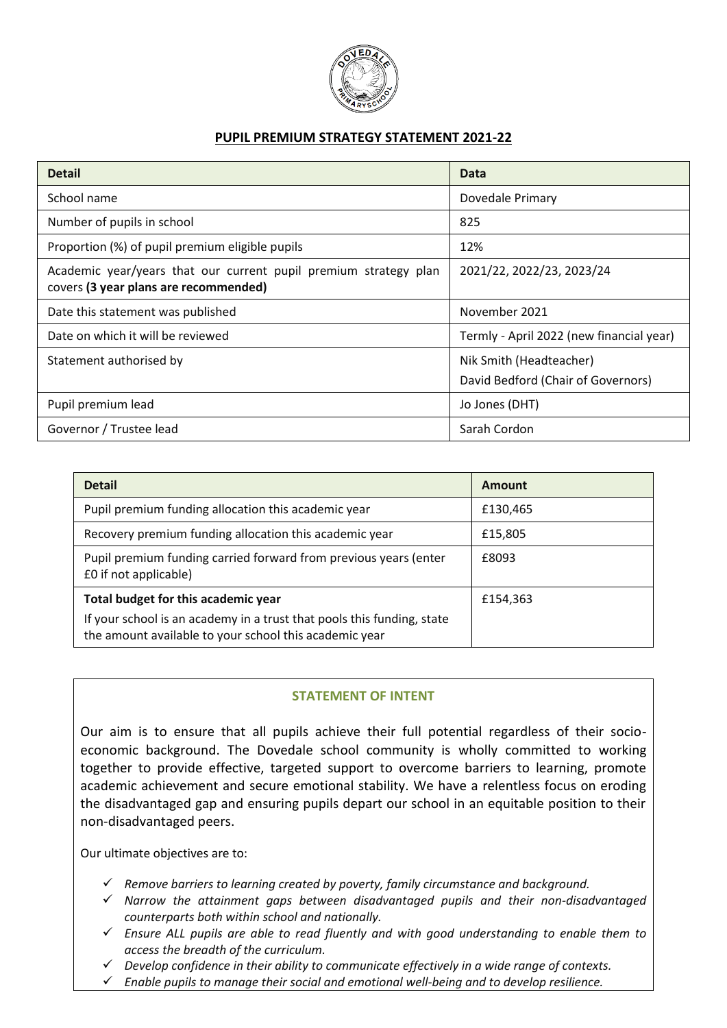

### **PUPIL PREMIUM STRATEGY STATEMENT 2021-22**

| <b>Detail</b>                                                                                             | Data                                                          |
|-----------------------------------------------------------------------------------------------------------|---------------------------------------------------------------|
| School name                                                                                               | Dovedale Primary                                              |
| Number of pupils in school                                                                                | 825                                                           |
| Proportion (%) of pupil premium eligible pupils                                                           | 12%                                                           |
| Academic year/years that our current pupil premium strategy plan<br>covers (3 year plans are recommended) | 2021/22, 2022/23, 2023/24                                     |
| Date this statement was published                                                                         | November 2021                                                 |
| Date on which it will be reviewed                                                                         | Termly - April 2022 (new financial year)                      |
| Statement authorised by                                                                                   | Nik Smith (Headteacher)<br>David Bedford (Chair of Governors) |
| Pupil premium lead                                                                                        | Jo Jones (DHT)                                                |
| Governor / Trustee lead                                                                                   | Sarah Cordon                                                  |

| <b>Detail</b>                                                                                                                    | Amount   |
|----------------------------------------------------------------------------------------------------------------------------------|----------|
| Pupil premium funding allocation this academic year                                                                              | £130,465 |
| Recovery premium funding allocation this academic year                                                                           | £15,805  |
| Pupil premium funding carried forward from previous years (enter<br>£0 if not applicable)                                        | £8093    |
| Total budget for this academic year                                                                                              | £154,363 |
| If your school is an academy in a trust that pools this funding, state<br>the amount available to your school this academic year |          |

### **STATEMENT OF INTENT**

Our aim is to ensure that all pupils achieve their full potential regardless of their socioeconomic background. The Dovedale school community is wholly committed to working together to provide effective, targeted support to overcome barriers to learning, promote academic achievement and secure emotional stability. We have a relentless focus on eroding the disadvantaged gap and ensuring pupils depart our school in an equitable position to their non-disadvantaged peers.

Our ultimate objectives are to:

- *Remove barriers to learning created by poverty, family circumstance and background.*
- *Narrow the attainment gaps between disadvantaged pupils and their non-disadvantaged counterparts both within school and nationally.*
- *Ensure ALL pupils are able to read fluently and with good understanding to enable them to access the breadth of the curriculum.*
- *Develop confidence in their ability to communicate effectively in a wide range of contexts.*
- *Enable pupils to manage their social and emotional well-being and to develop resilience.*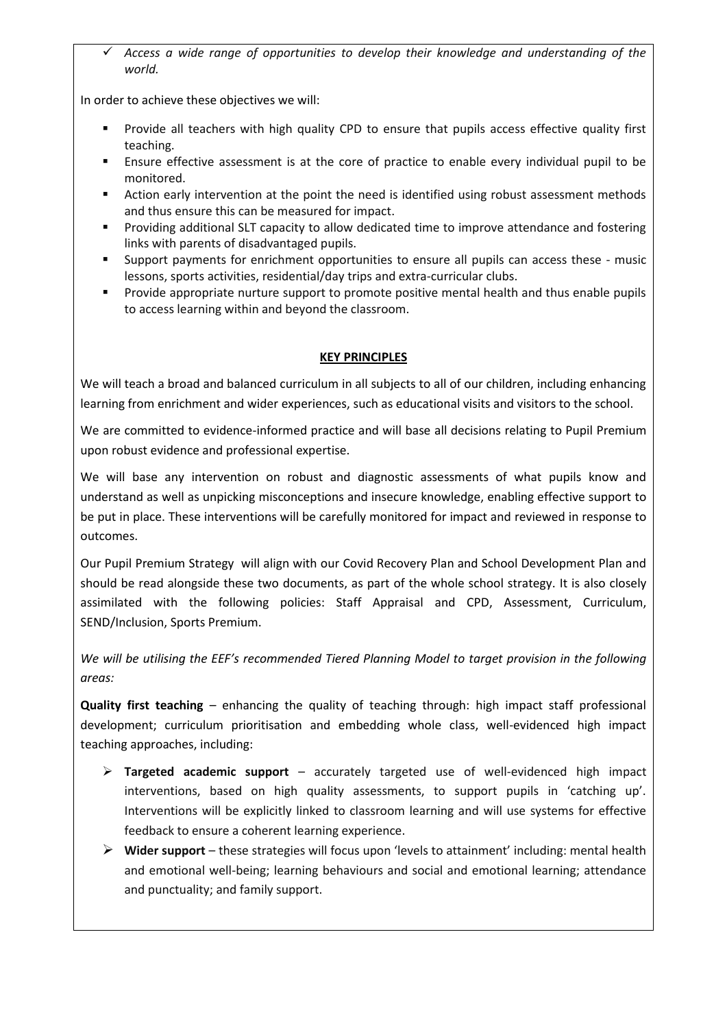*Access a wide range of opportunities to develop their knowledge and understanding of the world.*

In order to achieve these objectives we will:

- Provide all teachers with high quality CPD to ensure that pupils access effective quality first teaching.
- Ensure effective assessment is at the core of practice to enable every individual pupil to be monitored.
- Action early intervention at the point the need is identified using robust assessment methods and thus ensure this can be measured for impact.
- Providing additional SLT capacity to allow dedicated time to improve attendance and fostering links with parents of disadvantaged pupils.
- Support payments for enrichment opportunities to ensure all pupils can access these music lessons, sports activities, residential/day trips and extra-curricular clubs.
- Provide appropriate nurture support to promote positive mental health and thus enable pupils to access learning within and beyond the classroom.

### **KEY PRINCIPLES**

We will teach a broad and balanced curriculum in all subjects to all of our children, including enhancing learning from enrichment and wider experiences, such as educational visits and visitors to the school.

We are committed to evidence-informed practice and will base all decisions relating to Pupil Premium upon robust evidence and professional expertise.

We will base any intervention on robust and diagnostic assessments of what pupils know and understand as well as unpicking misconceptions and insecure knowledge, enabling effective support to be put in place. These interventions will be carefully monitored for impact and reviewed in response to outcomes.

Our Pupil Premium Strategy will align with our Covid Recovery Plan and School Development Plan and should be read alongside these two documents, as part of the whole school strategy. It is also closely assimilated with the following policies: Staff Appraisal and CPD, Assessment, Curriculum, SEND/Inclusion, Sports Premium.

*We will be utilising the EEF's recommended Tiered Planning Model to target provision in the following areas:*

**Quality first teaching** – enhancing the quality of teaching through: high impact staff professional development; curriculum prioritisation and embedding whole class, well-evidenced high impact teaching approaches, including:

- **Targeted academic support** accurately targeted use of well-evidenced high impact interventions, based on high quality assessments, to support pupils in 'catching up'. Interventions will be explicitly linked to classroom learning and will use systems for effective feedback to ensure a coherent learning experience.
- **Wider support** these strategies will focus upon 'levels to attainment' including: mental health and emotional well-being; learning behaviours and social and emotional learning; attendance and punctuality; and family support.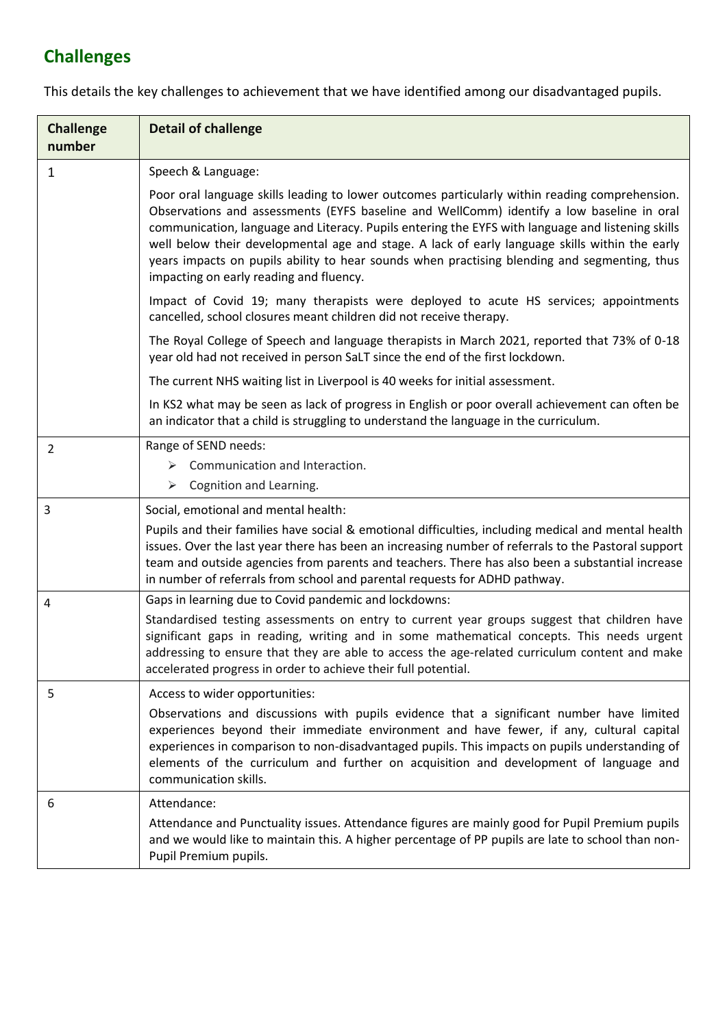# **Challenges**

| <b>Challenge</b><br>number | <b>Detail of challenge</b>                                                                                                                                                                                                                                                                                                                                                                                                                                                                                                                    |
|----------------------------|-----------------------------------------------------------------------------------------------------------------------------------------------------------------------------------------------------------------------------------------------------------------------------------------------------------------------------------------------------------------------------------------------------------------------------------------------------------------------------------------------------------------------------------------------|
| 1                          | Speech & Language:                                                                                                                                                                                                                                                                                                                                                                                                                                                                                                                            |
|                            | Poor oral language skills leading to lower outcomes particularly within reading comprehension.<br>Observations and assessments (EYFS baseline and WellComm) identify a low baseline in oral<br>communication, language and Literacy. Pupils entering the EYFS with language and listening skills<br>well below their developmental age and stage. A lack of early language skills within the early<br>years impacts on pupils ability to hear sounds when practising blending and segmenting, thus<br>impacting on early reading and fluency. |
|                            | Impact of Covid 19; many therapists were deployed to acute HS services; appointments<br>cancelled, school closures meant children did not receive therapy.                                                                                                                                                                                                                                                                                                                                                                                    |
|                            | The Royal College of Speech and language therapists in March 2021, reported that 73% of 0-18<br>year old had not received in person SaLT since the end of the first lockdown.                                                                                                                                                                                                                                                                                                                                                                 |
|                            | The current NHS waiting list in Liverpool is 40 weeks for initial assessment.                                                                                                                                                                                                                                                                                                                                                                                                                                                                 |
|                            | In KS2 what may be seen as lack of progress in English or poor overall achievement can often be<br>an indicator that a child is struggling to understand the language in the curriculum.                                                                                                                                                                                                                                                                                                                                                      |
| $\overline{2}$             | Range of SEND needs:<br>Communication and Interaction.<br>➤<br>Cognition and Learning.<br>➤                                                                                                                                                                                                                                                                                                                                                                                                                                                   |
| 3                          | Social, emotional and mental health:<br>Pupils and their families have social & emotional difficulties, including medical and mental health<br>issues. Over the last year there has been an increasing number of referrals to the Pastoral support<br>team and outside agencies from parents and teachers. There has also been a substantial increase<br>in number of referrals from school and parental requests for ADHD pathway.                                                                                                           |
| 4                          | Gaps in learning due to Covid pandemic and lockdowns:                                                                                                                                                                                                                                                                                                                                                                                                                                                                                         |
|                            | Standardised testing assessments on entry to current year groups suggest that children have<br>significant gaps in reading, writing and in some mathematical concepts. This needs urgent<br>addressing to ensure that they are able to access the age-related curriculum content and make<br>accelerated progress in order to achieve their full potential.                                                                                                                                                                                   |
| 5                          | Access to wider opportunities:                                                                                                                                                                                                                                                                                                                                                                                                                                                                                                                |
|                            | Observations and discussions with pupils evidence that a significant number have limited<br>experiences beyond their immediate environment and have fewer, if any, cultural capital<br>experiences in comparison to non-disadvantaged pupils. This impacts on pupils understanding of<br>elements of the curriculum and further on acquisition and development of language and<br>communication skills.                                                                                                                                       |
| 6                          | Attendance:                                                                                                                                                                                                                                                                                                                                                                                                                                                                                                                                   |
|                            | Attendance and Punctuality issues. Attendance figures are mainly good for Pupil Premium pupils<br>and we would like to maintain this. A higher percentage of PP pupils are late to school than non-<br>Pupil Premium pupils.                                                                                                                                                                                                                                                                                                                  |

This details the key challenges to achievement that we have identified among our disadvantaged pupils.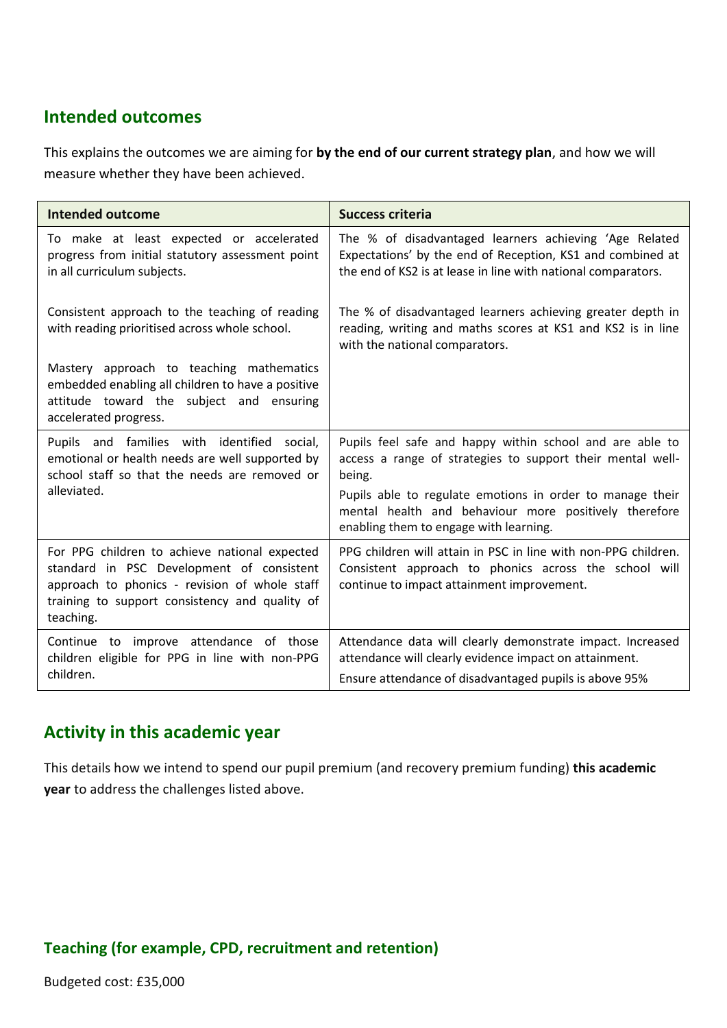## **Intended outcomes**

This explains the outcomes we are aiming for **by the end of our current strategy plan**, and how we will measure whether they have been achieved.

| <b>Intended outcome</b>                                                                                                                                                                                    | <b>Success criteria</b>                                                                                                                                                               |
|------------------------------------------------------------------------------------------------------------------------------------------------------------------------------------------------------------|---------------------------------------------------------------------------------------------------------------------------------------------------------------------------------------|
| To make at least expected or accelerated<br>progress from initial statutory assessment point<br>in all curriculum subjects.                                                                                | The % of disadvantaged learners achieving 'Age Related<br>Expectations' by the end of Reception, KS1 and combined at<br>the end of KS2 is at lease in line with national comparators. |
| Consistent approach to the teaching of reading<br>with reading prioritised across whole school.                                                                                                            | The % of disadvantaged learners achieving greater depth in<br>reading, writing and maths scores at KS1 and KS2 is in line<br>with the national comparators.                           |
| Mastery approach to teaching mathematics<br>embedded enabling all children to have a positive<br>attitude toward the subject and ensuring<br>accelerated progress.                                         |                                                                                                                                                                                       |
| Pupils and families with identified social,<br>emotional or health needs are well supported by<br>school staff so that the needs are removed or                                                            | Pupils feel safe and happy within school and are able to<br>access a range of strategies to support their mental well-<br>being.                                                      |
| alleviated.                                                                                                                                                                                                | Pupils able to regulate emotions in order to manage their<br>mental health and behaviour more positively therefore<br>enabling them to engage with learning.                          |
| For PPG children to achieve national expected<br>standard in PSC Development of consistent<br>approach to phonics - revision of whole staff<br>training to support consistency and quality of<br>teaching. | PPG children will attain in PSC in line with non-PPG children.<br>Consistent approach to phonics across the school will<br>continue to impact attainment improvement.                 |
| Continue to improve attendance of those<br>children eligible for PPG in line with non-PPG                                                                                                                  | Attendance data will clearly demonstrate impact. Increased<br>attendance will clearly evidence impact on attainment.                                                                  |
| children.                                                                                                                                                                                                  | Ensure attendance of disadvantaged pupils is above 95%                                                                                                                                |

## **Activity in this academic year**

This details how we intend to spend our pupil premium (and recovery premium funding) **this academic year** to address the challenges listed above.

### **Teaching (for example, CPD, recruitment and retention)**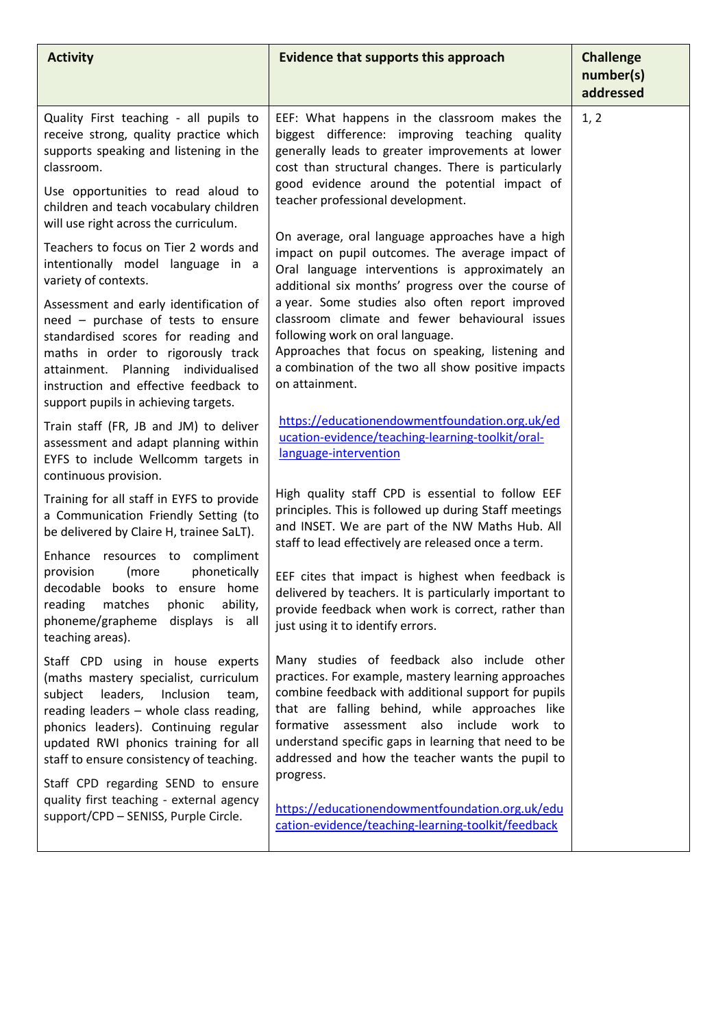| <b>Activity</b>                                                                                                                                                                                                                                                                              | <b>Evidence that supports this approach</b>                                                                                                                                                                                                                                                                                                                             | <b>Challenge</b><br>number(s)<br>addressed |
|----------------------------------------------------------------------------------------------------------------------------------------------------------------------------------------------------------------------------------------------------------------------------------------------|-------------------------------------------------------------------------------------------------------------------------------------------------------------------------------------------------------------------------------------------------------------------------------------------------------------------------------------------------------------------------|--------------------------------------------|
| Quality First teaching - all pupils to<br>receive strong, quality practice which<br>supports speaking and listening in the<br>classroom.                                                                                                                                                     | EEF: What happens in the classroom makes the<br>biggest difference: improving teaching quality<br>generally leads to greater improvements at lower<br>cost than structural changes. There is particularly<br>good evidence around the potential impact of                                                                                                               | 1, 2                                       |
| Use opportunities to read aloud to<br>children and teach vocabulary children<br>will use right across the curriculum.                                                                                                                                                                        | teacher professional development.                                                                                                                                                                                                                                                                                                                                       |                                            |
| Teachers to focus on Tier 2 words and<br>intentionally model language in a<br>variety of contexts.                                                                                                                                                                                           | On average, oral language approaches have a high<br>impact on pupil outcomes. The average impact of<br>Oral language interventions is approximately an<br>additional six months' progress over the course of                                                                                                                                                            |                                            |
| Assessment and early identification of<br>need - purchase of tests to ensure<br>standardised scores for reading and<br>maths in order to rigorously track<br>attainment. Planning individualised<br>instruction and effective feedback to<br>support pupils in achieving targets.            | a year. Some studies also often report improved<br>classroom climate and fewer behavioural issues<br>following work on oral language.<br>Approaches that focus on speaking, listening and<br>a combination of the two all show positive impacts<br>on attainment.                                                                                                       |                                            |
| Train staff (FR, JB and JM) to deliver<br>assessment and adapt planning within<br>EYFS to include Wellcomm targets in<br>continuous provision.                                                                                                                                               | https://educationendowmentfoundation.org.uk/ed<br>ucation-evidence/teaching-learning-toolkit/oral-<br>language-intervention                                                                                                                                                                                                                                             |                                            |
| Training for all staff in EYFS to provide<br>a Communication Friendly Setting (to<br>be delivered by Claire H, trainee SaLT).                                                                                                                                                                | High quality staff CPD is essential to follow EEF<br>principles. This is followed up during Staff meetings<br>and INSET. We are part of the NW Maths Hub. All<br>staff to lead effectively are released once a term.                                                                                                                                                    |                                            |
| Enhance resources to compliment<br>phonetically<br>provision<br>(more<br>decodable books to ensure home<br>phonic<br>ability,<br>reading<br>matches<br>phoneme/grapheme<br>displays<br>is all<br>teaching areas).                                                                            | EEF cites that impact is highest when feedback is<br>delivered by teachers. It is particularly important to<br>provide feedback when work is correct, rather than<br>just using it to identify errors.                                                                                                                                                                  |                                            |
| Staff CPD using in house experts<br>(maths mastery specialist, curriculum<br>leaders,<br>Inclusion<br>subject<br>team,<br>reading leaders - whole class reading,<br>phonics leaders). Continuing regular<br>updated RWI phonics training for all<br>staff to ensure consistency of teaching. | Many studies of feedback also include other<br>practices. For example, mastery learning approaches<br>combine feedback with additional support for pupils<br>that are falling behind, while approaches like<br>formative<br>assessment also include work to<br>understand specific gaps in learning that need to be<br>addressed and how the teacher wants the pupil to |                                            |
| Staff CPD regarding SEND to ensure<br>quality first teaching - external agency<br>support/CPD - SENISS, Purple Circle.                                                                                                                                                                       | progress.<br>https://educationendowmentfoundation.org.uk/edu<br>cation-evidence/teaching-learning-toolkit/feedback                                                                                                                                                                                                                                                      |                                            |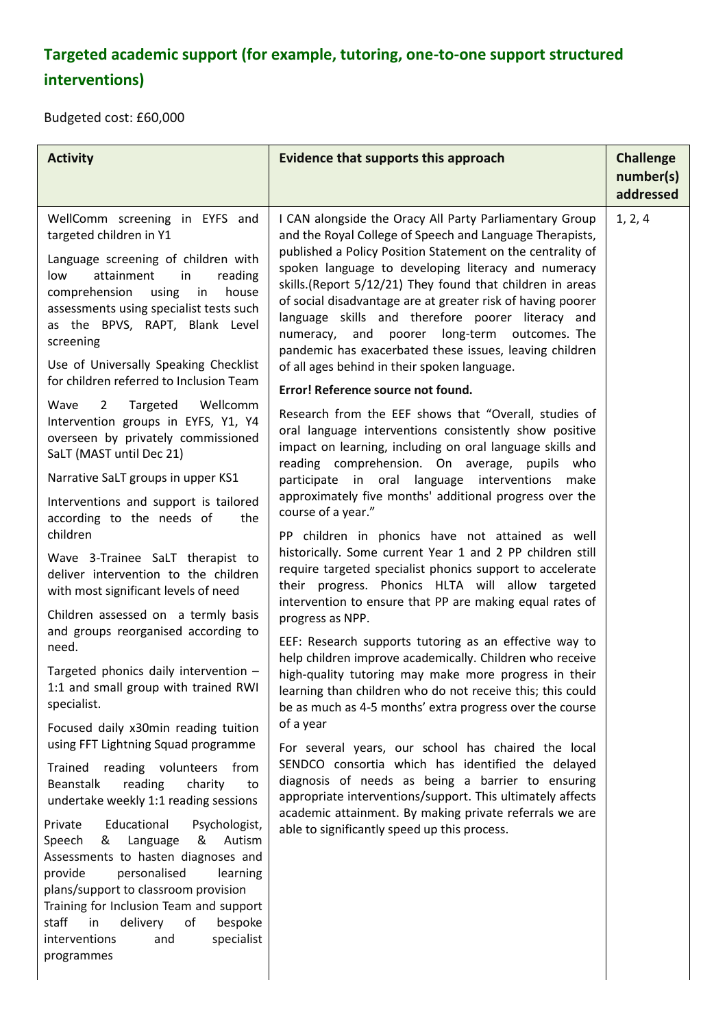# **Targeted academic support (for example, tutoring, one-to-one support structured interventions)**

Budgeted cost: £60,000

| I CAN alongside the Oracy All Party Parliamentary Group<br>1, 2, 4<br>WellComm screening in EYFS and<br>targeted children in Y1<br>and the Royal College of Speech and Language Therapists,<br>published a Policy Position Statement on the centrality of<br>Language screening of children with<br>spoken language to developing literacy and numeracy<br>low<br>attainment<br>in<br>reading<br>skills.(Report 5/12/21) They found that children in areas<br>comprehension<br>using<br>in<br>house                                                                                                                                                                                                                                                                                                                                                                                                                                                                                                                                                                                                                                                                                                                                                                                                                                                                                                                                                                                                                                                                                                                                                                                                                                                                                                                                                                                                                                                                                                                                                                                                                                                                                                                                                                                                                                                                                                                                                                                                                                                                                                                                                                                                                                                                                                                                                                                                                   | <b>Activity</b>                         | Evidence that supports this approach                        | <b>Challenge</b><br>number(s)<br>addressed |
|-----------------------------------------------------------------------------------------------------------------------------------------------------------------------------------------------------------------------------------------------------------------------------------------------------------------------------------------------------------------------------------------------------------------------------------------------------------------------------------------------------------------------------------------------------------------------------------------------------------------------------------------------------------------------------------------------------------------------------------------------------------------------------------------------------------------------------------------------------------------------------------------------------------------------------------------------------------------------------------------------------------------------------------------------------------------------------------------------------------------------------------------------------------------------------------------------------------------------------------------------------------------------------------------------------------------------------------------------------------------------------------------------------------------------------------------------------------------------------------------------------------------------------------------------------------------------------------------------------------------------------------------------------------------------------------------------------------------------------------------------------------------------------------------------------------------------------------------------------------------------------------------------------------------------------------------------------------------------------------------------------------------------------------------------------------------------------------------------------------------------------------------------------------------------------------------------------------------------------------------------------------------------------------------------------------------------------------------------------------------------------------------------------------------------------------------------------------------------------------------------------------------------------------------------------------------------------------------------------------------------------------------------------------------------------------------------------------------------------------------------------------------------------------------------------------------------------------------------------------------------------------------------------------------------|-----------------------------------------|-------------------------------------------------------------|--------------------------------------------|
| language skills and therefore poorer literacy and<br>as the BPVS, RAPT, Blank Level<br>numeracy, and poorer long-term outcomes. The<br>screening<br>pandemic has exacerbated these issues, leaving children<br>Use of Universally Speaking Checklist<br>of all ages behind in their spoken language.<br>for children referred to Inclusion Team<br>Error! Reference source not found.<br>Wave<br>Targeted<br>Wellcomm<br>$\overline{2}$<br>Research from the EEF shows that "Overall, studies of<br>Intervention groups in EYFS, Y1, Y4<br>oral language interventions consistently show positive<br>overseen by privately commissioned<br>impact on learning, including on oral language skills and<br>SaLT (MAST until Dec 21)<br>reading comprehension. On average, pupils who<br>Narrative SaLT groups in upper KS1<br>participate in oral language interventions<br>make<br>approximately five months' additional progress over the<br>Interventions and support is tailored<br>course of a year."<br>according to the needs of<br>the<br>children<br>PP children in phonics have not attained as well<br>historically. Some current Year 1 and 2 PP children still<br>Wave 3-Trainee SaLT therapist to<br>require targeted specialist phonics support to accelerate<br>deliver intervention to the children<br>their progress. Phonics HLTA will allow targeted<br>with most significant levels of need<br>intervention to ensure that PP are making equal rates of<br>Children assessed on a termly basis<br>progress as NPP.<br>and groups reorganised according to<br>EEF: Research supports tutoring as an effective way to<br>need.<br>help children improve academically. Children who receive<br>Targeted phonics daily intervention -<br>high-quality tutoring may make more progress in their<br>1:1 and small group with trained RWI<br>learning than children who do not receive this; this could<br>specialist.<br>be as much as 4-5 months' extra progress over the course<br>of a year<br>Focused daily x30min reading tuition<br>using FFT Lightning Squad programme<br>For several years, our school has chaired the local<br>SENDCO consortia which has identified the delayed<br>Trained reading volunteers from<br>diagnosis of needs as being a barrier to ensuring<br><b>Beanstalk</b><br>reading<br>charity<br>to<br>appropriate interventions/support. This ultimately affects<br>undertake weekly 1:1 reading sessions<br>academic attainment. By making private referrals we are<br>Private<br>Educational<br>Psychologist,<br>able to significantly speed up this process.<br>Language<br>&<br>Autism<br>Speech<br>&<br>Assessments to hasten diagnoses and<br>provide<br>personalised<br>learning<br>plans/support to classroom provision<br>Training for Inclusion Team and support<br>in<br>delivery<br>staff<br>of<br>bespoke<br>specialist<br>interventions<br>and<br>programmes | assessments using specialist tests such | of social disadvantage are at greater risk of having poorer |                                            |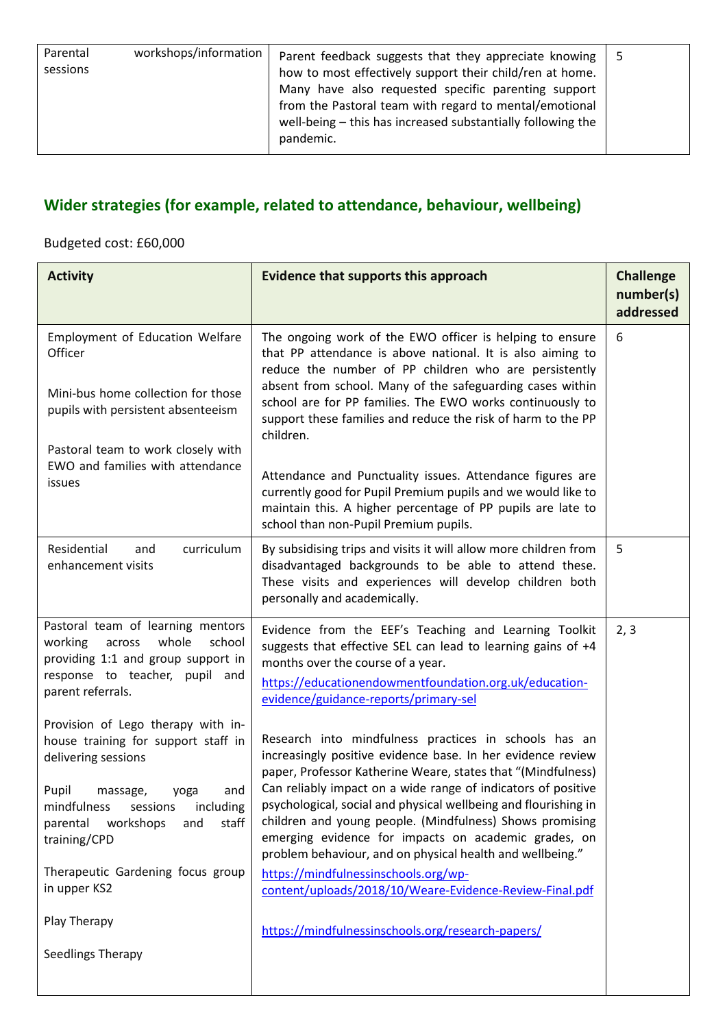| Parental<br>sessions | workshops/information | Parent feedback suggests that they appreciate knowing  <br>how to most effectively support their child/ren at home.<br>Many have also requested specific parenting support<br>from the Pastoral team with regard to mental/emotional | - 5 |
|----------------------|-----------------------|--------------------------------------------------------------------------------------------------------------------------------------------------------------------------------------------------------------------------------------|-----|
|                      |                       | well-being - this has increased substantially following the<br>pandemic.                                                                                                                                                             |     |

## **Wider strategies (for example, related to attendance, behaviour, wellbeing)**

## Budgeted cost: £60,000

| <b>Activity</b>                                                                                                                                                                                                                                                                                                           | <b>Evidence that supports this approach</b>                                                                                                                                                                                                                                                                                                                                                                                                                                                                                                                                                                                                                       | <b>Challenge</b><br>number(s)<br>addressed |
|---------------------------------------------------------------------------------------------------------------------------------------------------------------------------------------------------------------------------------------------------------------------------------------------------------------------------|-------------------------------------------------------------------------------------------------------------------------------------------------------------------------------------------------------------------------------------------------------------------------------------------------------------------------------------------------------------------------------------------------------------------------------------------------------------------------------------------------------------------------------------------------------------------------------------------------------------------------------------------------------------------|--------------------------------------------|
| Employment of Education Welfare<br>Officer<br>Mini-bus home collection for those<br>pupils with persistent absenteeism<br>Pastoral team to work closely with<br>EWO and families with attendance<br>issues                                                                                                                | The ongoing work of the EWO officer is helping to ensure<br>that PP attendance is above national. It is also aiming to<br>reduce the number of PP children who are persistently<br>absent from school. Many of the safeguarding cases within<br>school are for PP families. The EWO works continuously to<br>support these families and reduce the risk of harm to the PP<br>children.<br>Attendance and Punctuality issues. Attendance figures are<br>currently good for Pupil Premium pupils and we would like to<br>maintain this. A higher percentage of PP pupils are late to<br>school than non-Pupil Premium pupils.                                       | 6                                          |
| Residential<br>curriculum<br>and<br>enhancement visits                                                                                                                                                                                                                                                                    | By subsidising trips and visits it will allow more children from<br>disadvantaged backgrounds to be able to attend these.<br>These visits and experiences will develop children both<br>personally and academically.                                                                                                                                                                                                                                                                                                                                                                                                                                              | 5                                          |
| Pastoral team of learning mentors<br>whole<br>working<br>school<br>across<br>providing 1:1 and group support in<br>response to teacher, pupil and<br>parent referrals.                                                                                                                                                    | Evidence from the EEF's Teaching and Learning Toolkit<br>suggests that effective SEL can lead to learning gains of +4<br>months over the course of a year.<br>https://educationendowmentfoundation.org.uk/education-<br>evidence/guidance-reports/primary-sel                                                                                                                                                                                                                                                                                                                                                                                                     | 2, 3                                       |
| Provision of Lego therapy with in-<br>house training for support staff in<br>delivering sessions<br>Pupil<br>massage,<br>and<br>yoga<br>mindfulness sessions<br>including<br>parental workshops<br>staff<br>and<br>training/CPD<br>Therapeutic Gardening focus group<br>in upper KS2<br>Play Therapy<br>Seedlings Therapy | Research into mindfulness practices in schools has an<br>increasingly positive evidence base. In her evidence review<br>paper, Professor Katherine Weare, states that "(Mindfulness)<br>Can reliably impact on a wide range of indicators of positive<br>psychological, social and physical wellbeing and flourishing in<br>children and young people. (Mindfulness) Shows promising<br>emerging evidence for impacts on academic grades, on<br>problem behaviour, and on physical health and wellbeing."<br>https://mindfulnessinschools.org/wp-<br>content/uploads/2018/10/Weare-Evidence-Review-Final.pdf<br>https://mindfulnessinschools.org/research-papers/ |                                            |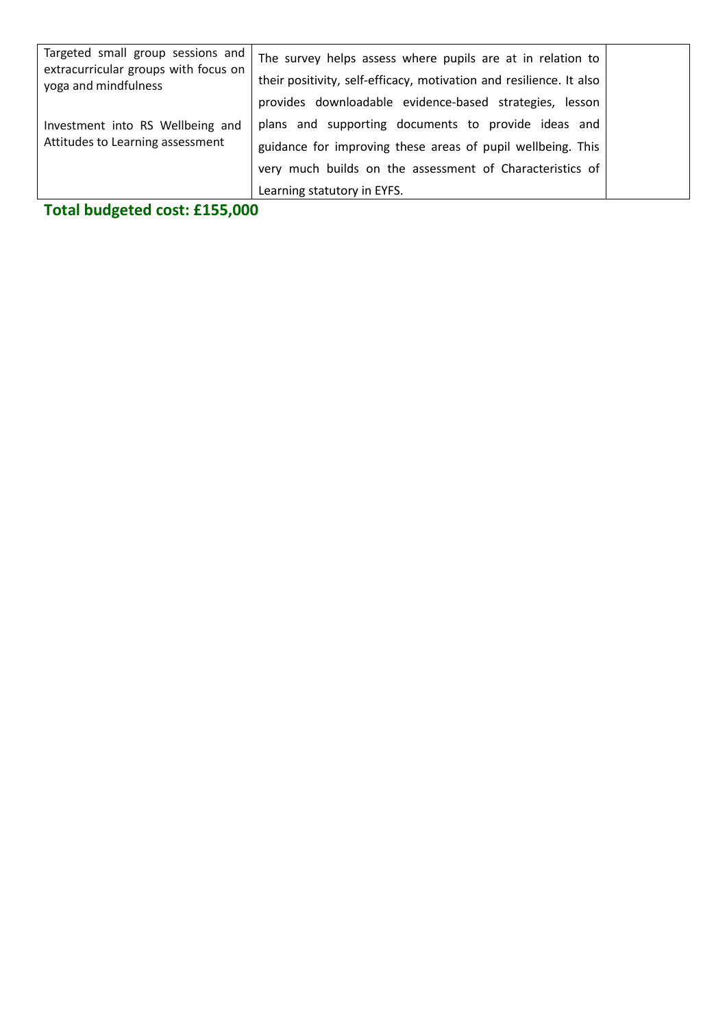| Targeted small group sessions and<br>extracurricular groups with focus on<br>yoga and mindfulness | The survey helps assess where pupils are at in relation to<br>their positivity, self-efficacy, motivation and resilience. It also<br>provides downloadable evidence-based strategies, lesson                  |  |
|---------------------------------------------------------------------------------------------------|---------------------------------------------------------------------------------------------------------------------------------------------------------------------------------------------------------------|--|
| Investment into RS Wellbeing and<br>Attitudes to Learning assessment                              | plans and supporting documents to provide ideas and<br>guidance for improving these areas of pupil wellbeing. This<br>very much builds on the assessment of Characteristics of<br>Learning statutory in EYFS. |  |

**Total budgeted cost: £155,000**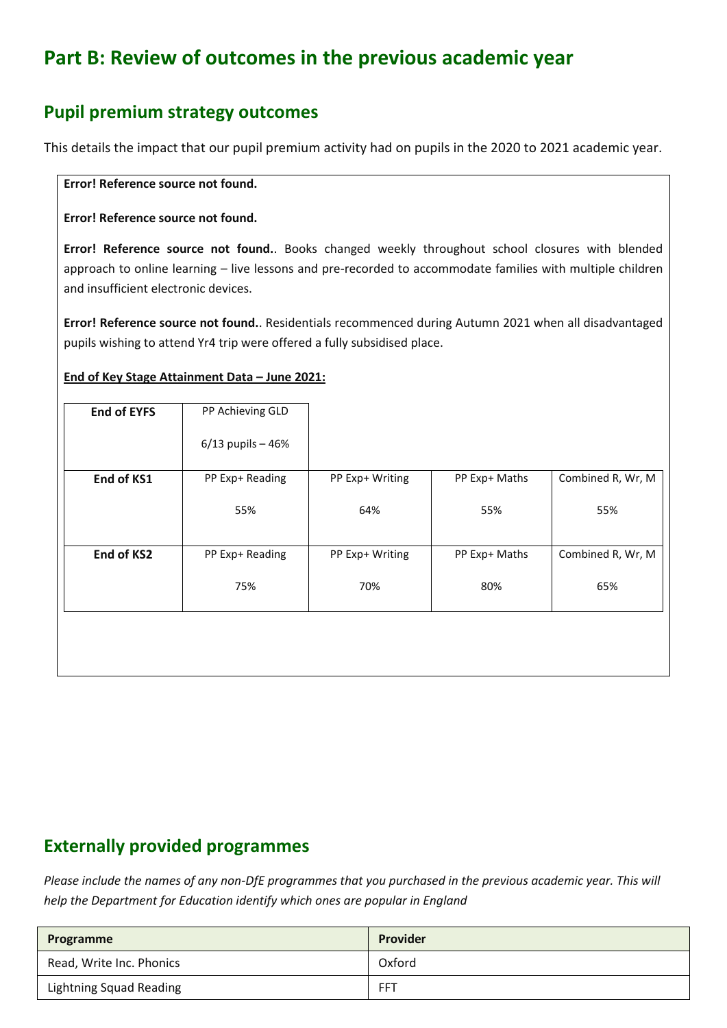# **Part B: Review of outcomes in the previous academic year**

## **Pupil premium strategy outcomes**

This details the impact that our pupil premium activity had on pupils in the 2020 to 2021 academic year.

#### **Error! Reference source not found.**

#### **Error! Reference source not found.**

**Error! Reference source not found.**. Books changed weekly throughout school closures with blended approach to online learning – live lessons and pre-recorded to accommodate families with multiple children and insufficient electronic devices.

**Error! Reference source not found.**. Residentials recommenced during Autumn 2021 when all disadvantaged pupils wishing to attend Yr4 trip were offered a fully subsidised place.

### **End of Key Stage Attainment Data – June 2021:**

| <b>End of EYFS</b> | PP Achieving GLD     |                 |               |                   |
|--------------------|----------------------|-----------------|---------------|-------------------|
|                    | $6/13$ pupils $-46%$ |                 |               |                   |
| End of KS1         | PP Exp+ Reading      | PP Exp+ Writing | PP Exp+ Maths | Combined R, Wr, M |
|                    | 55%                  | 64%             | 55%           | 55%               |
| End of KS2         | PP Exp+ Reading      | PP Exp+ Writing | PP Exp+ Maths | Combined R, Wr, M |
|                    | 75%                  | 70%             | 80%           | 65%               |
|                    |                      |                 |               |                   |
|                    |                      |                 |               |                   |

## **Externally provided programmes**

*Please include the names of any non-DfE programmes that you purchased in the previous academic year. This will help the Department for Education identify which ones are popular in England*

| Programme                      | Provider |
|--------------------------------|----------|
| Read, Write Inc. Phonics       | Oxford   |
| <b>Lightning Squad Reading</b> | FFT      |